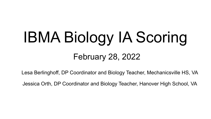# IBMA Biology IA Scoring

# February 28, 2022

Lesa Berlinghoff, DP Coordinator and Biology Teacher, Mechanicsville HS, VA

Jessica Orth, DP Coordinator and Biology Teacher, Hanover High School, VA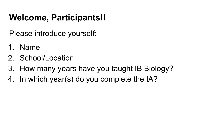# **Welcome, Participants!!**

Please introduce yourself:

- 1. Name
- 2. School/Location
- 3. How many years have you taught IB Biology?
- 4. In which year(s) do you complete the IA?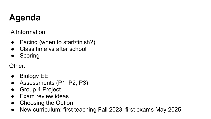# **Agenda**

IA Information:

- Pacing (when to start/finish?)
- Class time vs after school
- Scoring

Other:

- Biology EE
- Assessments (P1, P2, P3)
- Group 4 Project
- **Exam review ideas**
- Choosing the Option
- New curriculum: first teaching Fall 2023, first exams May 2025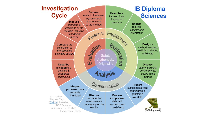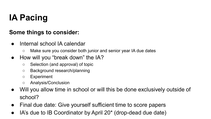# **IA Pacing**

#### **Some things to consider:**

- Internal school IA calendar
	- Make sure you consider both junior and senior year IA due dates
- How will you "break down" the IA?
	- Selection (and approval) of topic
	- Background research/planning
	- Experiment
	- Analysis/Conclusion
- Will you allow time in school or will this be done exclusively outside of school?
- Final due date: Give yourself sufficient time to score papers
- IA's due to IB Coordinator by April 20\* (drop-dead due date)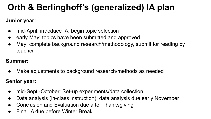# **Orth & Berlinghoff's (generalized) IA plan**

#### **Junior year:**

- mid-April: introduce IA, begin topic selection
- early May: topics have been submitted and approved
- May: complete background research/methodology, submit for reading by teacher

#### **Summer:**

Make adjustments to background research/methods as needed

#### **Senior year:**

- mid-Sept.-October: Set-up experiments/data collection
- Data analysis (in-class instruction); data analysis due early November
- Conclusion and Evaluation due after Thanksgiving
- Final IA due before Winter Break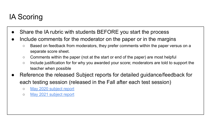## IA Scoring

- Share the IA rubric with students BEFORE you start the process
- Include comments for the moderator on the paper or in the margins
	- Based on feedback from moderators, they prefer comments within the paper versus on a separate score sheet.
	- Comments within the paper (not at the start or end of the paper) are most helpful
	- Include justification for for why you awarded your score; moderators are told to support the teacher when possible
- Reference the released Subject reports for detailed guidance/feedback for each testing session (released in the Fall after each test session)
	- o [May 2020 subject report](https://drive.google.com/file/d/1_SnY952YKhg1flWrptpw1XPvLlCRw5Lu/view?usp=sharing)
	- [May 2021 subject report](https://drive.google.com/file/d/136TfyYiUsOrC_ThJpED3Ce2oTMJchX5Q/view?usp=sharing)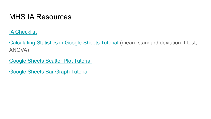### MHS IA Resources

[IA Checklist](https://docs.google.com/document/u/0/d/1ugKbyL2zAgkkCVmr1Uq_ZMhG5_vv4GK-9YlCKv5Gb50/edit)

[Calculating Statistics in Google Sheets Tutorial](https://docs.google.com/document/d/1pZiLyKaFAvDw2O9B92XsTCdhKlD_kscRqs7pYaE-4_8/edit?usp=sharing) (mean, standard deviation, t-test, ANOVA)

[Google Sheets Scatter Plot Tutorial](https://docs.google.com/document/d/1Vp6fM32jZLYSGI7quIapXjAcKZ-e9LhbpqzSa6V0V9w/edit?usp=sharing)

[Google Sheets Bar Graph Tutorial](https://docs.google.com/document/d/1agbCXVZybAjH6ImmX0BoPVKn2b5F1m03rL4UyIA8KIU/edit?usp=sharing)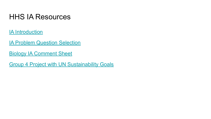### HHS IA Resources

[IA Introduction](https://docs.google.com/document/d/1V7ABWMg7UWBIVhgUZgcdzMZ3eFiP1ug-/edit?usp=sharing&ouid=104326418571947922005&rtpof=true&sd=true)

[IA Problem Question Selection](https://docs.google.com/document/d/1OTvu-lqRCcsLmv6pobAdxjhOvVq6gEl-/edit?usp=sharing&ouid=104326418571947922005&rtpof=true&sd=true)

[Biology IA Comment Sheet](https://docs.google.com/document/d/1tXxEXmalP6vYqlt3KecCKksv7LOPpWHh/edit?usp=sharing&ouid=104326418571947922005&rtpof=true&sd=true)

[Group 4 Project with UN Sustainability Goals](https://docs.google.com/document/d/1QGYUfQy6fre1uZxPGSvvoLeNDK1F0zlA/edit?usp=sharing&ouid=104326418571947922005&rtpof=true&sd=true)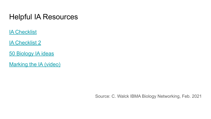### Helpful IA Resources

**[IA Checklist](https://www.peakib.com/resources/the-ultimate-ib-biology-internal-assessment-checklist)** 

**[IA Checklist 2](https://ibbetter.com/biology-ia-checklist/)** 

[50 Biology IA ideas](https://ibbetter.com/biology-ia-ideas/)

[Marking the IA \(video\)](https://www.youtube.com/watch?v=jC8pmynzj_8)

Source: C. Walck IBMA Biology Networking, Feb. 2021